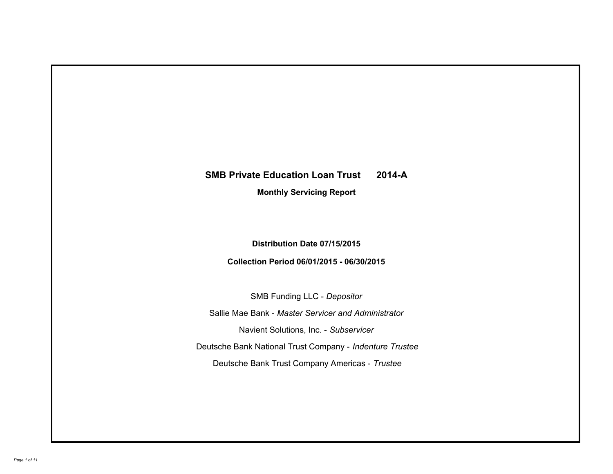## **SMB Private Education Loan Trust 2014-A**

**Monthly Servicing Report**

**Distribution Date 07/15/2015**

**Collection Period 06/01/2015 - 06/30/2015**

SMB Funding LLC - *Depositor* Sallie Mae Bank - *Master Servicer and Administrator* Deutsche Bank National Trust Company - *Indenture Trustee* Deutsche Bank Trust Company Americas - *Trustee* Navient Solutions, Inc. - *Subservicer*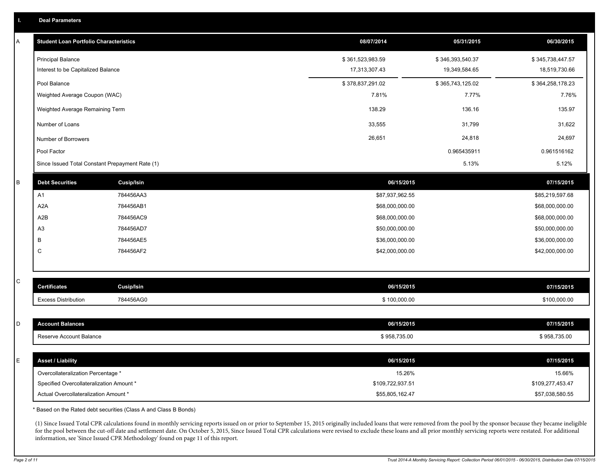| A | <b>Student Loan Portfolio Characteristics</b>   |                              | 08/07/2014       | 05/31/2015       | 06/30/2015       |
|---|-------------------------------------------------|------------------------------|------------------|------------------|------------------|
|   | <b>Principal Balance</b>                        |                              | \$361,523,983.59 | \$346,393,540.37 | \$345,738,447.57 |
|   | Interest to be Capitalized Balance              |                              | 17,313,307.43    | 19,349,584.65    | 18,519,730.66    |
|   | Pool Balance                                    |                              | \$378,837,291.02 | \$365,743,125.02 |                  |
|   | Weighted Average Coupon (WAC)                   |                              | 7.81%            | 7.77%            | 7.76%            |
|   | Weighted Average Remaining Term                 |                              | 138.29           | 136.16           |                  |
|   | Number of Loans                                 |                              | 33,555           | 31,799           | 31,622           |
|   | Number of Borrowers                             |                              | 26,651           | 24,818           | 24,697           |
|   | Pool Factor                                     |                              |                  | 0.965435911      | 0.961516162      |
|   | Since Issued Total Constant Prepayment Rate (1) |                              |                  | 5.13%            | 5.12%            |
| B | <b>Debt Securities</b>                          | <b>Cusip/Isin</b>            | 06/15/2015       |                  | 07/15/2015       |
|   | A1                                              | 784456AA3                    | \$87,937,962.55  |                  | \$85,219,597.68  |
|   | A <sub>2</sub> A                                | 784456AB1                    | \$68,000,000.00  |                  | \$68,000,000.00  |
|   | A2B                                             | 784456AC9                    | \$68,000,000.00  | \$68,000,000.00  |                  |
|   | A <sub>3</sub>                                  | 784456AD7<br>\$50,000,000.00 |                  |                  | \$50,000,000.00  |
|   | В                                               | 784456AE5                    | \$36,000,000.00  |                  | \$36,000,000.00  |
|   | $\mathsf C$                                     | 784456AF2                    | \$42,000,000.00  |                  | \$42,000,000.00  |
|   |                                                 |                              |                  |                  |                  |
| С | <b>Certificates</b>                             | <b>Cusip/Isin</b>            | 06/15/2015       |                  | 07/15/2015       |
|   | <b>Excess Distribution</b>                      | 784456AG0                    | \$100,000.00     |                  | \$100,000.00     |
|   |                                                 |                              |                  |                  |                  |
| D | <b>Account Balances</b>                         |                              | 06/15/2015       |                  | 07/15/2015       |
|   | Reserve Account Balance                         |                              | \$958,735.00     |                  | \$958,735.00     |
|   |                                                 |                              |                  |                  |                  |
| E | <b>Asset / Liability</b>                        |                              | 06/15/2015       |                  | 07/15/2015       |
|   | Overcollateralization Percentage *              |                              | 15.26%           |                  | 15.66%           |
|   | Specified Overcollateralization Amount *        |                              | \$109,722,937.51 |                  | \$109,277,453.47 |
|   | Actual Overcollateralization Amount *           |                              | \$55,805,162.47  |                  | \$57,038,580.55  |

\* Based on the Rated debt securities (Class A and Class B Bonds)

(1) Since Issued Total CPR calculations found in monthly servicing reports issued on or prior to September 15, 2015 originally included loans that were removed from the pool by the sponsor because they became ineligible for the pool between the cut-off date and settlement date. On October 5, 2015, Since Issued Total CPR calculations were revised to exclude these loans and all prior monthly servicing reports were restated. For additional information, see 'Since Issued CPR Methodology' found on page 11 of this report.

C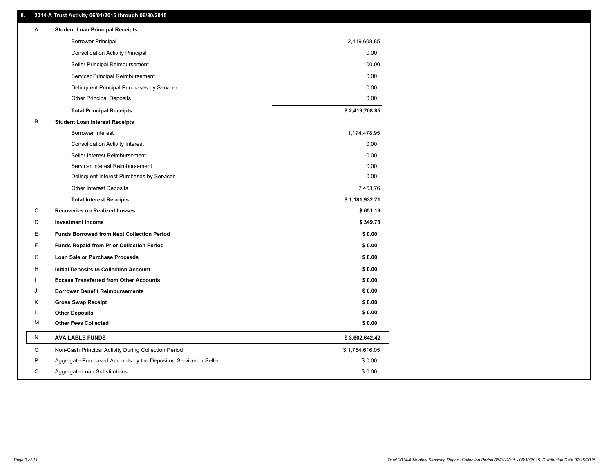| Α         | <b>Student Loan Principal Receipts</b>                           |                |
|-----------|------------------------------------------------------------------|----------------|
|           | <b>Borrower Principal</b>                                        | 2,419,608.85   |
|           | <b>Consolidation Activity Principal</b>                          | 0.00           |
|           | Seller Principal Reimbursement                                   | 100.00         |
|           | Servicer Principal Reimbursement                                 | 0.00           |
|           | Delinquent Principal Purchases by Servicer                       | 0.00           |
|           | <b>Other Principal Deposits</b>                                  | 0.00           |
|           | <b>Total Principal Receipts</b>                                  | \$2,419,708.85 |
| В         | <b>Student Loan Interest Receipts</b>                            |                |
|           | <b>Borrower Interest</b>                                         | 1,174,478.95   |
|           | <b>Consolidation Activity Interest</b>                           | 0.00           |
|           | Seller Interest Reimbursement                                    | 0.00           |
|           | Servicer Interest Reimbursement                                  | 0.00           |
|           | Delinquent Interest Purchases by Servicer                        | 0.00           |
|           | <b>Other Interest Deposits</b>                                   | 7,453.76       |
|           | <b>Total Interest Receipts</b>                                   | \$1,181,932.71 |
| С         | <b>Recoveries on Realized Losses</b>                             | \$651.13       |
| D         | <b>Investment Income</b>                                         | \$349.73       |
| Е         | <b>Funds Borrowed from Next Collection Period</b>                | \$0.00         |
| F         | <b>Funds Repaid from Prior Collection Period</b>                 | \$0.00         |
| G         | <b>Loan Sale or Purchase Proceeds</b>                            | \$0.00         |
| н         | Initial Deposits to Collection Account                           | \$0.00         |
|           | <b>Excess Transferred from Other Accounts</b>                    | \$0.00         |
| J         | <b>Borrower Benefit Reimbursements</b>                           | \$0.00         |
| Κ         | <b>Gross Swap Receipt</b>                                        | \$0.00         |
| L         | <b>Other Deposits</b>                                            | \$0.00         |
| м         | <b>Other Fees Collected</b>                                      | \$0.00         |
| ${\sf N}$ | <b>AVAILABLE FUNDS</b>                                           | \$3,602,642.42 |
| O         | Non-Cash Principal Activity During Collection Period             | \$1,764,616.05 |
| P         | Aggregate Purchased Amounts by the Depositor, Servicer or Seller | \$0.00         |
| Q         | Aggregate Loan Substitutions                                     | \$0.00         |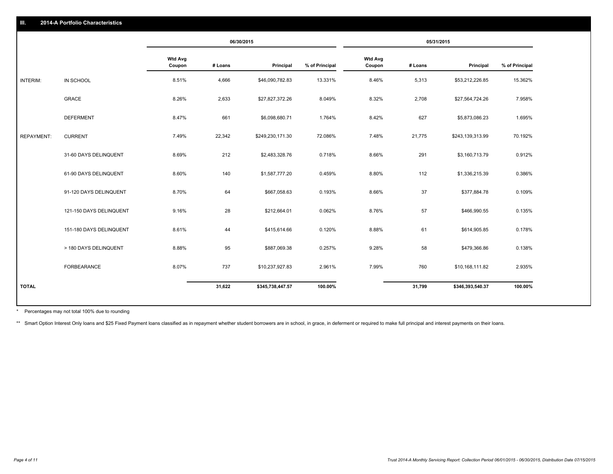|                   |                         | 06/30/2015               |         | 05/31/2015       |                |                          |         |                  |                |
|-------------------|-------------------------|--------------------------|---------|------------------|----------------|--------------------------|---------|------------------|----------------|
|                   |                         | <b>Wtd Avg</b><br>Coupon | # Loans | Principal        | % of Principal | <b>Wtd Avg</b><br>Coupon | # Loans | Principal        | % of Principal |
| INTERIM:          | IN SCHOOL               | 8.51%                    | 4,666   | \$46,090,782.83  | 13.331%        | 8.46%                    | 5,313   | \$53,212,226.85  | 15.362%        |
|                   | GRACE                   | 8.26%                    | 2,633   | \$27,827,372.26  | 8.049%         | 8.32%                    | 2,708   | \$27,564,724.26  | 7.958%         |
|                   | <b>DEFERMENT</b>        | 8.47%                    | 661     | \$6,098,680.71   | 1.764%         | 8.42%                    | 627     | \$5,873,086.23   | 1.695%         |
| <b>REPAYMENT:</b> | <b>CURRENT</b>          | 7.49%                    | 22,342  | \$249,230,171.30 | 72.086%        | 7.48%                    | 21,775  | \$243,139,313.99 | 70.192%        |
|                   | 31-60 DAYS DELINQUENT   | 8.69%                    | 212     | \$2,483,328.76   | 0.718%         | 8.66%                    | 291     | \$3,160,713.79   | 0.912%         |
|                   | 61-90 DAYS DELINQUENT   | 8.60%                    | 140     | \$1,587,777.20   | 0.459%         | 8.80%                    | 112     | \$1,336,215.39   | 0.386%         |
|                   | 91-120 DAYS DELINQUENT  | 8.70%                    | 64      | \$667,058.63     | 0.193%         | 8.66%                    | 37      | \$377,884.78     | 0.109%         |
|                   | 121-150 DAYS DELINQUENT | 9.16%                    | 28      | \$212,664.01     | 0.062%         | 8.76%                    | 57      | \$466,990.55     | 0.135%         |
|                   | 151-180 DAYS DELINQUENT | 8.61%                    | 44      | \$415,614.66     | 0.120%         | 8.88%                    | 61      | \$614,905.85     | 0.178%         |
|                   | > 180 DAYS DELINQUENT   | 8.88%                    | 95      | \$887,069.38     | 0.257%         | 9.28%                    | 58      | \$479,366.86     | 0.138%         |
|                   | FORBEARANCE             | 8.07%                    | 737     | \$10,237,927.83  | 2.961%         | 7.99%                    | 760     | \$10,168,111.82  | 2.935%         |
| <b>TOTAL</b>      |                         |                          | 31,622  | \$345,738,447.57 | 100.00%        |                          | 31,799  | \$346,393,540.37 | 100.00%        |

Percentages may not total 100% due to rounding \*

\*\* Smart Option Interest Only loans and \$25 Fixed Payment loans classified as in repayment whether student borrowers are in school, in grace, in deferment or required to make full principal and interest payments on their l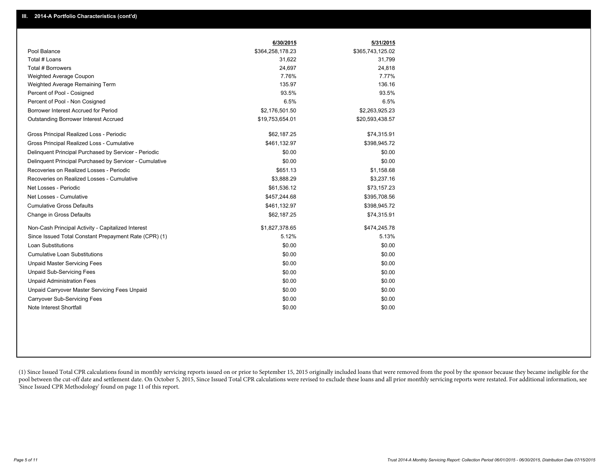|                                                         | 6/30/2015        | 5/31/2015        |
|---------------------------------------------------------|------------------|------------------|
| Pool Balance                                            | \$364,258,178.23 | \$365,743,125.02 |
| Total # Loans                                           | 31,622           | 31,799           |
| Total # Borrowers                                       | 24,697           | 24,818           |
| Weighted Average Coupon                                 | 7.76%            | 7.77%            |
| Weighted Average Remaining Term                         | 135.97           | 136.16           |
| Percent of Pool - Cosigned                              | 93.5%            | 93.5%            |
| Percent of Pool - Non Cosigned                          | 6.5%             | 6.5%             |
| Borrower Interest Accrued for Period                    | \$2,176,501.50   | \$2,263,925.23   |
| <b>Outstanding Borrower Interest Accrued</b>            | \$19,753,654.01  | \$20,593,438.57  |
| Gross Principal Realized Loss - Periodic                | \$62,187.25      | \$74,315.91      |
| Gross Principal Realized Loss - Cumulative              | \$461,132.97     | \$398,945.72     |
| Delinguent Principal Purchased by Servicer - Periodic   | \$0.00           | \$0.00           |
| Delinguent Principal Purchased by Servicer - Cumulative | \$0.00           | \$0.00           |
| Recoveries on Realized Losses - Periodic                | \$651.13         | \$1,158.68       |
| Recoveries on Realized Losses - Cumulative              | \$3,888.29       | \$3,237.16       |
| Net Losses - Periodic                                   | \$61,536.12      | \$73,157.23      |
| Net Losses - Cumulative                                 | \$457,244.68     | \$395,708.56     |
| <b>Cumulative Gross Defaults</b>                        | \$461,132.97     | \$398,945.72     |
| Change in Gross Defaults                                | \$62,187.25      | \$74,315.91      |
| Non-Cash Principal Activity - Capitalized Interest      | \$1,827,378.65   | \$474,245.78     |
| Since Issued Total Constant Prepayment Rate (CPR) (1)   | 5.12%            | 5.13%            |
| Loan Substitutions                                      | \$0.00           | \$0.00           |
| <b>Cumulative Loan Substitutions</b>                    | \$0.00           | \$0.00           |
| <b>Unpaid Master Servicing Fees</b>                     | \$0.00           | \$0.00           |
| <b>Unpaid Sub-Servicing Fees</b>                        | \$0.00           | \$0.00           |
| <b>Unpaid Administration Fees</b>                       | \$0.00           | \$0.00           |
| Unpaid Carryover Master Servicing Fees Unpaid           | \$0.00           | \$0.00           |
| <b>Carryover Sub-Servicing Fees</b>                     | \$0.00           | \$0.00           |
| Note Interest Shortfall                                 | \$0.00           | \$0.00           |

(1) Since Issued Total CPR calculations found in monthly servicing reports issued on or prior to September 15, 2015 originally included loans that were removed from the pool by the sponsor because they became ineligible fo pool between the cut-off date and settlement date. On October 5, 2015, Since Issued Total CPR calculations were revised to exclude these loans and all prior monthly servicing reports were restated. For additional informati 'Since Issued CPR Methodology' found on page 11 of this report.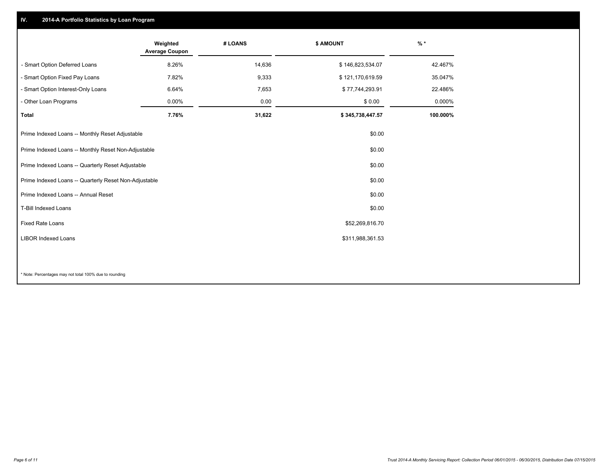## **IV. 2014-A Portfolio Statistics by Loan Program**

|                                                       | Weighted<br><b>Average Coupon</b> | # LOANS | \$ AMOUNT        | $%$ *    |
|-------------------------------------------------------|-----------------------------------|---------|------------------|----------|
| - Smart Option Deferred Loans                         | 8.26%                             | 14,636  | \$146,823,534.07 | 42.467%  |
| - Smart Option Fixed Pay Loans                        | 7.82%                             | 9,333   | \$121,170,619.59 | 35.047%  |
| - Smart Option Interest-Only Loans                    | 6.64%                             | 7,653   | \$77,744,293.91  | 22.486%  |
| - Other Loan Programs                                 | 0.00%                             | 0.00    | \$0.00           | 0.000%   |
| <b>Total</b>                                          | 7.76%                             | 31,622  | \$345,738,447.57 | 100.000% |
| Prime Indexed Loans -- Monthly Reset Adjustable       |                                   |         | \$0.00           |          |
| Prime Indexed Loans -- Monthly Reset Non-Adjustable   |                                   |         | \$0.00           |          |
| Prime Indexed Loans -- Quarterly Reset Adjustable     |                                   |         | \$0.00           |          |
| Prime Indexed Loans -- Quarterly Reset Non-Adjustable |                                   |         | \$0.00           |          |
| Prime Indexed Loans -- Annual Reset                   |                                   |         | \$0.00           |          |
| <b>T-Bill Indexed Loans</b>                           |                                   |         | \$0.00           |          |
| Fixed Rate Loans                                      |                                   |         | \$52,269,816.70  |          |
| <b>LIBOR Indexed Loans</b>                            |                                   |         | \$311,988,361.53 |          |
|                                                       |                                   |         |                  |          |
|                                                       |                                   |         |                  |          |

\* Note: Percentages may not total 100% due to rounding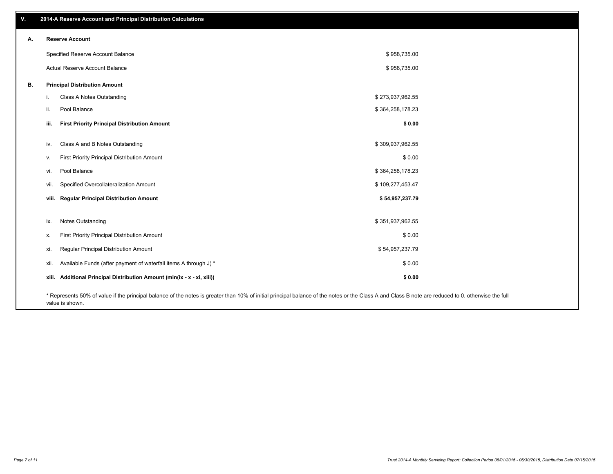| ۷. | 2014-A Reserve Account and Principal Distribution Calculations                                                                                                                                     |                  |  |  |  |  |
|----|----------------------------------------------------------------------------------------------------------------------------------------------------------------------------------------------------|------------------|--|--|--|--|
| А. | <b>Reserve Account</b>                                                                                                                                                                             |                  |  |  |  |  |
|    | Specified Reserve Account Balance                                                                                                                                                                  | \$958,735.00     |  |  |  |  |
|    | Actual Reserve Account Balance                                                                                                                                                                     | \$958,735.00     |  |  |  |  |
| В. | <b>Principal Distribution Amount</b>                                                                                                                                                               |                  |  |  |  |  |
|    | Class A Notes Outstanding                                                                                                                                                                          | \$273,937,962.55 |  |  |  |  |
|    | Pool Balance<br>ii.                                                                                                                                                                                | \$364,258,178.23 |  |  |  |  |
|    | <b>First Priority Principal Distribution Amount</b><br>iii.                                                                                                                                        | \$0.00           |  |  |  |  |
|    | Class A and B Notes Outstanding<br>iv.                                                                                                                                                             | \$309,937,962.55 |  |  |  |  |
|    | First Priority Principal Distribution Amount<br>V.                                                                                                                                                 | \$0.00           |  |  |  |  |
|    | Pool Balance<br>vi.                                                                                                                                                                                | \$364,258,178.23 |  |  |  |  |
|    | Specified Overcollateralization Amount<br>vii.                                                                                                                                                     | \$109,277,453.47 |  |  |  |  |
|    | viii. Regular Principal Distribution Amount                                                                                                                                                        | \$54,957,237.79  |  |  |  |  |
|    |                                                                                                                                                                                                    |                  |  |  |  |  |
|    | <b>Notes Outstanding</b><br>ix.                                                                                                                                                                    | \$351,937,962.55 |  |  |  |  |
|    | First Priority Principal Distribution Amount<br>Х.                                                                                                                                                 | \$0.00           |  |  |  |  |
|    | Regular Principal Distribution Amount<br>xi.                                                                                                                                                       | \$54,957,237.79  |  |  |  |  |
|    | Available Funds (after payment of waterfall items A through J) *<br>xii.                                                                                                                           | \$0.00           |  |  |  |  |
|    | xiii. Additional Principal Distribution Amount (min(ix - x - xi, xiii))                                                                                                                            | \$0.00           |  |  |  |  |
|    | * Represents 50% of value if the principal balance of the notes is greater than 10% of initial principal balance of the notes or the Class A and Class B note are reduced to 0, otherwise the full |                  |  |  |  |  |

value is shown.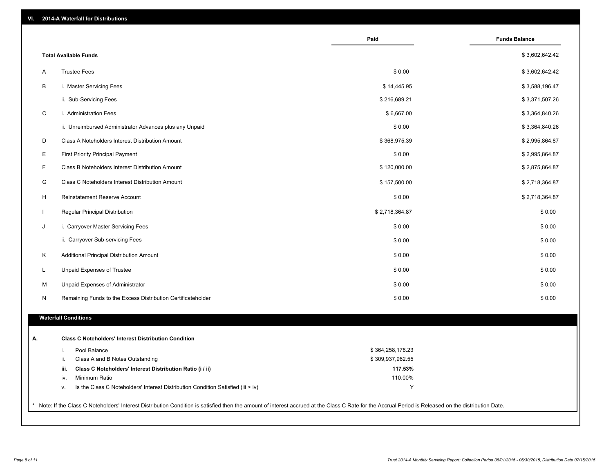|                              |                                                                                  | Paid             | <b>Funds Balance</b> |
|------------------------------|----------------------------------------------------------------------------------|------------------|----------------------|
| <b>Total Available Funds</b> |                                                                                  |                  | \$3,602,642.42       |
| A                            | <b>Trustee Fees</b>                                                              | \$0.00           | \$3,602,642.42       |
| B                            | i. Master Servicing Fees                                                         | \$14,445.95      | \$3,588,196.47       |
|                              | ii. Sub-Servicing Fees                                                           | \$216,689.21     | \$3,371,507.26       |
| $\mathsf C$                  | i. Administration Fees                                                           | \$6,667.00       | \$3,364,840.26       |
|                              | ii. Unreimbursed Administrator Advances plus any Unpaid                          | \$0.00           | \$3,364,840.26       |
| D                            | Class A Noteholders Interest Distribution Amount                                 | \$368,975.39     | \$2,995,864.87       |
| Ε                            | <b>First Priority Principal Payment</b>                                          | \$0.00           | \$2,995,864.87       |
| F                            | Class B Noteholders Interest Distribution Amount                                 | \$120,000.00     | \$2,875,864.87       |
| G                            | Class C Noteholders Interest Distribution Amount                                 | \$157,500.00     | \$2,718,364.87       |
| H                            | Reinstatement Reserve Account                                                    | \$0.00           | \$2,718,364.87       |
|                              | Regular Principal Distribution                                                   | \$2,718,364.87   | \$0.00               |
| J                            | i. Carryover Master Servicing Fees                                               | \$0.00           | \$0.00               |
|                              | ii. Carryover Sub-servicing Fees                                                 | \$0.00           | \$0.00               |
| Κ                            | Additional Principal Distribution Amount                                         | \$0.00           | \$0.00               |
| L                            | Unpaid Expenses of Trustee                                                       | \$0.00           | \$0.00               |
| M                            | Unpaid Expenses of Administrator                                                 | \$0.00           | \$0.00               |
| N                            | Remaining Funds to the Excess Distribution Certificateholder                     | \$0.00           | \$0.00               |
| <b>Waterfall Conditions</b>  |                                                                                  |                  |                      |
|                              |                                                                                  |                  |                      |
|                              | <b>Class C Noteholders' Interest Distribution Condition</b>                      |                  |                      |
| i.                           | Pool Balance                                                                     | \$364,258,178.23 |                      |
| ii.                          | Class A and B Notes Outstanding                                                  | \$309,937,962.55 |                      |
| iii.                         | Class C Noteholders' Interest Distribution Ratio (i / ii)                        | 117.53%          |                      |
| iv.                          | Minimum Ratio                                                                    | 110.00%          |                      |
| ٧.                           | Is the Class C Noteholders' Interest Distribution Condition Satisfied (iii > iv) | Υ                |                      |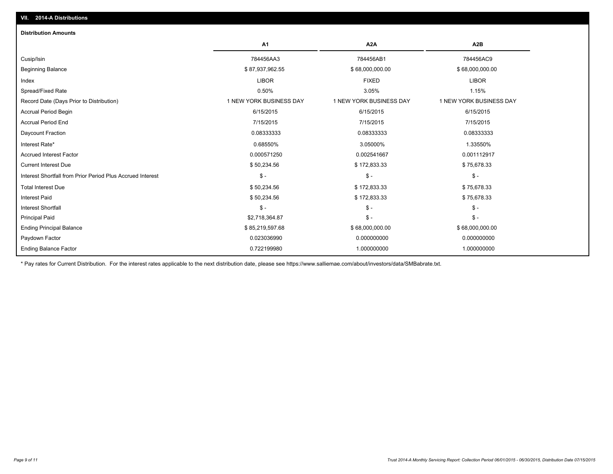| <b>Distribution Amounts</b>                                |                         |                         |                         |  |  |
|------------------------------------------------------------|-------------------------|-------------------------|-------------------------|--|--|
|                                                            | A <sub>1</sub>          | A <sub>2</sub> A        | A <sub>2</sub> B        |  |  |
| Cusip/Isin                                                 | 784456AA3               | 784456AB1               | 784456AC9               |  |  |
| <b>Beginning Balance</b>                                   | \$87,937,962.55         | \$68,000,000.00         | \$68,000,000.00         |  |  |
| Index                                                      | <b>LIBOR</b>            | <b>FIXED</b>            | <b>LIBOR</b>            |  |  |
| Spread/Fixed Rate                                          | 0.50%                   | 3.05%                   | 1.15%                   |  |  |
| Record Date (Days Prior to Distribution)                   | 1 NEW YORK BUSINESS DAY | 1 NEW YORK BUSINESS DAY | 1 NEW YORK BUSINESS DAY |  |  |
| <b>Accrual Period Begin</b>                                | 6/15/2015               | 6/15/2015               | 6/15/2015               |  |  |
| <b>Accrual Period End</b>                                  | 7/15/2015               | 7/15/2015               | 7/15/2015               |  |  |
| Daycount Fraction                                          | 0.08333333              | 0.08333333              | 0.08333333              |  |  |
| Interest Rate*                                             | 0.68550%                | 3.05000%                | 1.33550%                |  |  |
| <b>Accrued Interest Factor</b>                             | 0.000571250             | 0.002541667             | 0.001112917             |  |  |
| <b>Current Interest Due</b>                                | \$50,234.56             | \$172,833.33            | \$75,678.33             |  |  |
| Interest Shortfall from Prior Period Plus Accrued Interest | $\mathcal{S}$ -         | $\mathsf{\$}$ -         | $\mathsf{\$}$ -         |  |  |
| <b>Total Interest Due</b>                                  | \$50,234.56             | \$172,833.33            | \$75,678.33             |  |  |
| <b>Interest Paid</b>                                       | \$50,234.56             | \$172,833.33            | \$75,678.33             |  |  |
| <b>Interest Shortfall</b>                                  | $\mathcal{S}$ -         | $\mathcal{S}$ -         | $\mathsf{\$}$ -         |  |  |
| <b>Principal Paid</b>                                      | \$2,718,364.87          | $\mathsf{\$}$ -         | $\mathsf{\$}$ -         |  |  |
| <b>Ending Principal Balance</b>                            | \$85,219,597.68         | \$68,000,000.00         | \$68,000,000.00         |  |  |
| Paydown Factor                                             | 0.023036990             | 0.000000000             | 0.000000000             |  |  |
| <b>Ending Balance Factor</b>                               | 0.722199980             | 1.000000000             | 1.000000000             |  |  |

\* Pay rates for Current Distribution. For the interest rates applicable to the next distribution date, please see https://www.salliemae.com/about/investors/data/SMBabrate.txt.

**VII. 2014-A Distributions**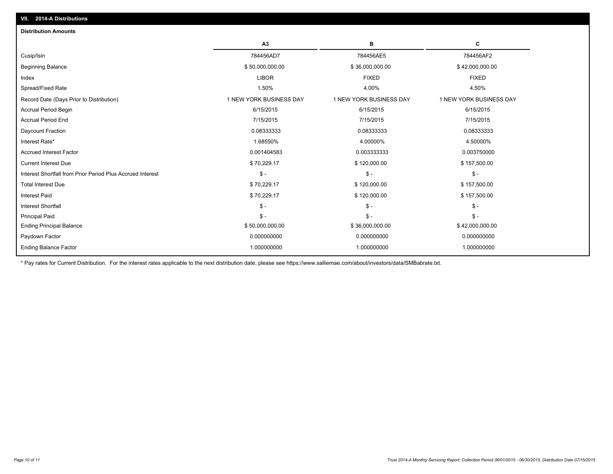| <b>Distribution Amounts</b>                                |                         |                         |                         |
|------------------------------------------------------------|-------------------------|-------------------------|-------------------------|
|                                                            | A3                      | в                       | c                       |
| Cusip/Isin                                                 | 784456AD7               | 784456AE5               | 784456AF2               |
| <b>Beginning Balance</b>                                   | \$50,000,000.00         | \$36,000,000.00         | \$42,000,000.00         |
| Index                                                      | <b>LIBOR</b>            | <b>FIXED</b>            | <b>FIXED</b>            |
| Spread/Fixed Rate                                          | 1.50%                   | 4.00%                   | 4.50%                   |
| Record Date (Days Prior to Distribution)                   | 1 NEW YORK BUSINESS DAY | 1 NEW YORK BUSINESS DAY | 1 NEW YORK BUSINESS DAY |
| <b>Accrual Period Begin</b>                                | 6/15/2015               | 6/15/2015               | 6/15/2015               |
| <b>Accrual Period End</b>                                  | 7/15/2015               | 7/15/2015               | 7/15/2015               |
| Daycount Fraction                                          | 0.08333333              | 0.08333333              | 0.08333333              |
| Interest Rate*                                             | 1.68550%                | 4.00000%                | 4.50000%                |
| <b>Accrued Interest Factor</b>                             | 0.001404583             | 0.003333333             | 0.003750000             |
| <b>Current Interest Due</b>                                | \$70,229.17             | \$120,000.00            | \$157,500.00            |
| Interest Shortfall from Prior Period Plus Accrued Interest | $\mathbb{S}$ -          | $\mathsf{\$}$ -         | $\mathsf{\$}$ -         |
| <b>Total Interest Due</b>                                  | \$70,229.17             | \$120,000.00            | \$157,500.00            |
| <b>Interest Paid</b>                                       | \$70,229.17             | \$120,000.00            | \$157,500.00            |
| <b>Interest Shortfall</b>                                  | $\mathbb{S}$ -          | $\mathsf{\$}$ -         | $S -$                   |
| <b>Principal Paid</b>                                      | $\mathbb{S}$ –          | $S -$                   | $\mathsf{\$}$ -         |
| <b>Ending Principal Balance</b>                            | \$50,000,000.00         | \$36,000,000.00         | \$42,000,000.00         |
| Paydown Factor                                             | 0.000000000             | 0.000000000             | 0.000000000             |
| <b>Ending Balance Factor</b>                               | 1.000000000             | 1.000000000             | 1.000000000             |

\* Pay rates for Current Distribution. For the interest rates applicable to the next distribution date, please see https://www.salliemae.com/about/investors/data/SMBabrate.txt.

**VII. 2014-A Distributions**